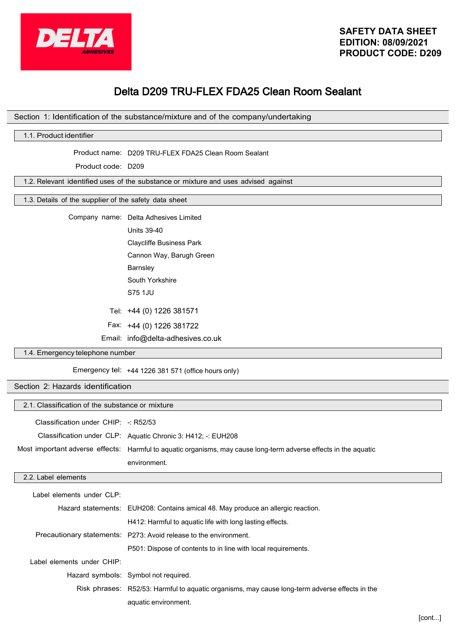

# Delta D209 TRU-FLEX FDA25 Clean Room Sealant

#### Section 1: Identification of the substance/mixture and of the company/undertaking

# 1.1. Product identifier

Product name: D209 TRU-FLEX FDA25 Clean Room Sealant

Product code: D209

1.2. Relevant identified uses of the substance or mixture and uses advised against

#### 1.3. Details of the supplier of the safety data sheet

Company name: Delta Adhesives Limited

Units 39-40

Claycliffe Business Park Cannon Way, Barugh Green

Barnsley

South Yorkshire

S75 1JU

Tel: +44 (0) 1226 381571

Fax: +44 (0) 1226 381722

Email: info@delta-adhesives.co.uk

# 1.4. Emergency telephone number

Emergency tel: +44 1226 381 571 (office hours only)

#### Section 2: Hazards identification

| 2.1. Classification of the substance or mixture |                                                                                                                  |  |
|-------------------------------------------------|------------------------------------------------------------------------------------------------------------------|--|
| Classification under $CHIP: -: R52/53$          |                                                                                                                  |  |
|                                                 | Classification under CLP: Aquatic Chronic 3: H412; -: EUH208                                                     |  |
|                                                 | Most important adverse effects: Harmful to aquatic organisms, may cause long-term adverse effects in the aquatic |  |
|                                                 | environment.                                                                                                     |  |
| 2.2. Label elements                             |                                                                                                                  |  |
| Label elements under CLP:                       |                                                                                                                  |  |
|                                                 | Hazard statements: EUH208: Contains amical 48. May produce an allergic reaction.                                 |  |
|                                                 | H412: Harmful to aquatic life with long lasting effects.                                                         |  |
|                                                 | Precautionary statements: P273: Avoid release to the environment.                                                |  |
|                                                 | P501: Dispose of contents to in line with local requirements.                                                    |  |
| Label elements under CHIP:                      |                                                                                                                  |  |
|                                                 | Hazard symbols: Symbol not required.                                                                             |  |
|                                                 | Risk phrases: R52/53: Harmful to aquatic organisms, may cause long-term adverse effects in the                   |  |
|                                                 | aquatic environment.                                                                                             |  |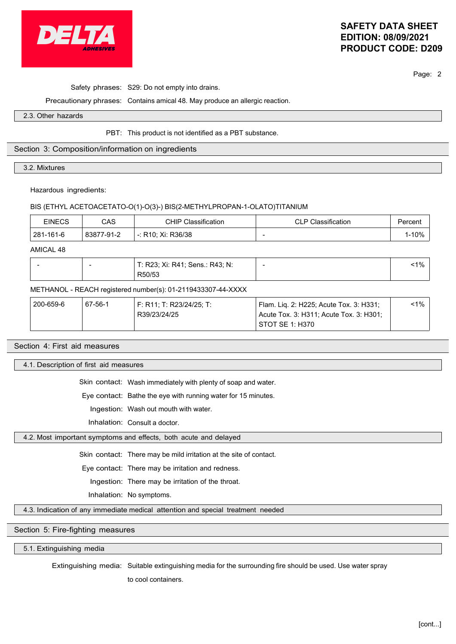

# **SAFETY DATA SHEET EDITION: 08/09/2021 PRODUCT CODE: D209**

Page: 2

Safety phrases: S29: Do not empty into drains.

Precautionary phrases: Contains amical 48. May produce an allergic reaction.

2.3. Other hazards

PBT: This product is not identified as a PBT substance.

### Section 3: Composition/information on ingredients

3.2. Mixtures

Hazardous ingredients:

#### BIS (ETHYL ACETOACETATO-O(1)-O(3)-) BIS(2-METHYLPROPAN-1-OLATO)TITANIUM

| EINECS    | CAS        | CHIP Classification | <b>CLP Classification</b> | ⊵ercent |
|-----------|------------|---------------------|---------------------------|---------|
| 281-161-6 | 83877-91-2 | -: R10: Xi: R36/38  |                           | $-10%$  |

AMICAL 48

|  | T: R23; Xi: R41; Sens.: R43; N:<br>R50/53 | $1\%$ |
|--|-------------------------------------------|-------|
|  |                                           |       |

### METHANOL - REACH registered number(s): 01-2119433307-44-XXXX

| 200-659-6 | 67-56-1 | F: R11: T: R23/24/25: T: | Flam. Lig. 2: H225; Acute Tox. 3: H331; | $< 1\%$ |
|-----------|---------|--------------------------|-----------------------------------------|---------|
|           |         | R39/23/24/25             | Acute Tox. 3: H311: Acute Tox. 3: H301: |         |
|           |         |                          | STOT SE 1: H370                         |         |

#### Section 4: First aid measures

4.1. Description of first aid measures

Skin contact: Wash immediately with plenty of soap and water.

Eye contact: Bathe the eye with running water for 15 minutes.

Ingestion: Wash out mouth with water.

Inhalation: Consult a doctor.

4.2. Most important symptoms and effects, both acute and delayed

Skin contact: There may be mild irritation at the site of contact.

Eye contact: There may be irritation and redness.

Ingestion: There may be irritation of the throat.

Inhalation: No symptoms.

4.3. Indication of any immediate medical attention and special treatment needed

# Section 5: Fire-fighting measures

5.1. Extinguishing media

Extinguishing media: Suitable extinguishing media for the surrounding fire should be used. Use water spray

to cool containers.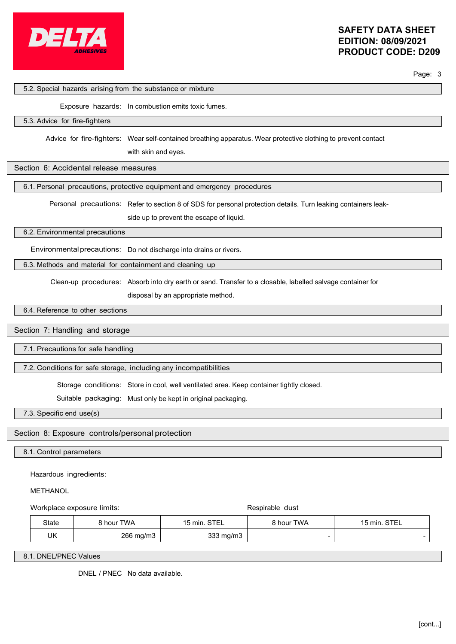

Page: 3

#### 5.2. Special hazards arising from the substance or mixture

Exposure hazards: In combustion emits toxic fumes.

#### 5.3. Advice for fire-fighters

Advice for fire-fighters: Wear self-contained breathing apparatus. Wear protective clothing to prevent contact

with skin and eyes.

### Section 6: Accidental release measures

6.1. Personal precautions, protective equipment and emergency procedures

Personal precautions: Refer to section 8 of SDS for personal protection details. Turn leaking containers leak-

side up to prevent the escape of liquid.

6.2. Environmental precautions

Environmental precautions: Do not discharge into drains or rivers.

6.3. Methods and material for containment and cleaning up

Clean-up procedures: Absorb into dry earth or sand. Transfer to a closable, labelled salvage container for

disposal by an appropriate method.

6.4. Reference to other sections

### Section 7: Handling and storage

7.1. Precautions for safe handling

7.2. Conditions for safe storage, including any incompatibilities

Storage conditions: Store in cool, well ventilated area. Keep container tightly closed.

Suitable packaging: Must only be kept in original packaging.

7.3. Specific end use(s)

Section 8: Exposure controls/personal protection

8.1. Control parameters

Hazardous ingredients:

#### **METHANOL**

Workplace exposure limits:  $\qquad \qquad$  Respirable dust

| State | 8 hour TWA | 15 min. STEL | 8 hour TWA | 15 min. STEL |
|-------|------------|--------------|------------|--------------|
| UK    | 266 mg/m3  | 333 mg/m3    |            |              |

8.1. DNEL/PNEC Values

DNEL / PNEC No data available.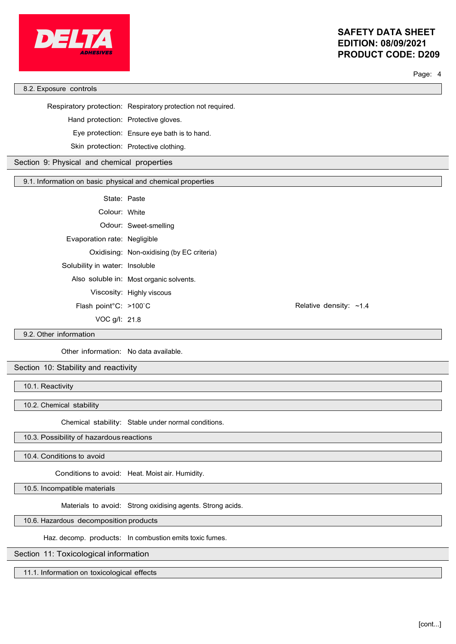

# **SAFETY DATA SHEET EDITION: 08/09/2021 PRODUCT CODE: D209**

Page: 4

8.2. Exposure controls

Respiratory protection: Respiratory protection not required.

Hand protection: Protective gloves.

Eye protection: Ensure eye bath is to hand.

Skin protection: Protective clothing.

Section 9: Physical and chemical properties

9.1. Information on basic physical and chemical properties

State: Paste

Colour: White

Odour: Sweet-smelling

Evaporation rate: Negligible

Oxidising: Non-oxidising (by EC criteria)

Solubility in water: Insoluble

Also soluble in: Most organic solvents.

Viscosity: Highly viscous

Flash point°C: >100`C

VOC g/l: 21.8

Relative density: ~1.4

9.2. Other information

Other information: No data available.

Section 10: Stability and reactivity

10.1. Reactivity

10.2. Chemical stability

Chemical stability: Stable under normal conditions.

10.3. Possibility of hazardous reactions

10.4. Conditions to avoid

Conditions to avoid: Heat. Moist air. Humidity.

10.5. Incompatible materials

Materials to avoid: Strong oxidising agents. Strong acids.

10.6. Hazardous decomposition products

Haz. decomp. products: In combustion emits toxic fumes.

Section 11: Toxicological information

11.1. Information on toxicological effects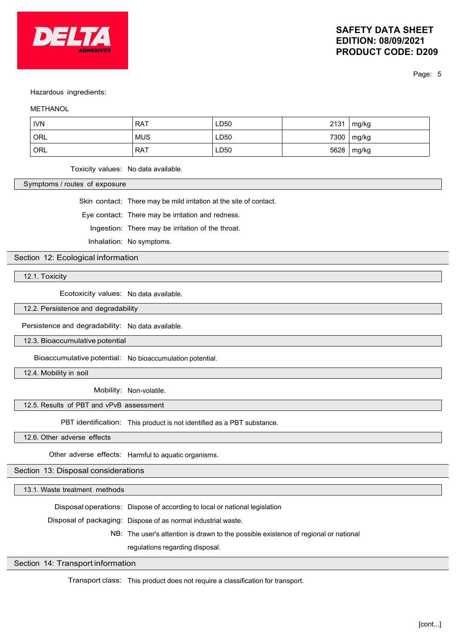

# **SAFETY DATA SHEET EDITION: 08/09/2021 PRODUCT CODE: D209**

Page: 5

#### Hazardous ingredients:

#### **METHANOL**

| <b>IVN</b> | <b>RAT</b> | LD50 | 2131 | mg/kg |
|------------|------------|------|------|-------|
| ORL        | <b>MUS</b> | LD50 | 7300 | mg/kg |
| ORL        | <b>RAT</b> | LD50 | 5628 | mg/kg |

Toxicity values: No data available.

Symptoms / routes of exposure

Skin contact: There may be mild irritation at the site of contact.

Eye contact: There may be irritation and redness.

Ingestion: There may be irritation of the throat.

Inhalation: No symptoms.

Section 12: Ecological information

12.1. Toxicity

Ecotoxicity values: No data available.

12.2. Persistence and degradability

Persistence and degradability: No data available.

12.3. Bioaccumulative potential

Bioaccumulative potential: No bioaccumulation potential.

12.4. Mobility in soil

Mobility: Non-volatile.

#### 12.5. Results of PBT and vPvB assessment

PBT identification: This product is not identified as a PBT substance.

12.6. Other adverse effects

Other adverse effects: Harmful to aquatic organisms.

Section 13: Disposal considerations

13.1. Waste treatment methods

Disposal operations: Dispose of according to local or national legislation

Disposal of packaging: Dispose of as normal industrial waste.

NB: The user's attention is drawn to the possible existence of regional or national

regulations regarding disposal.

### Section 14: Transport information

Transport class: This product does not require a classification for transport.